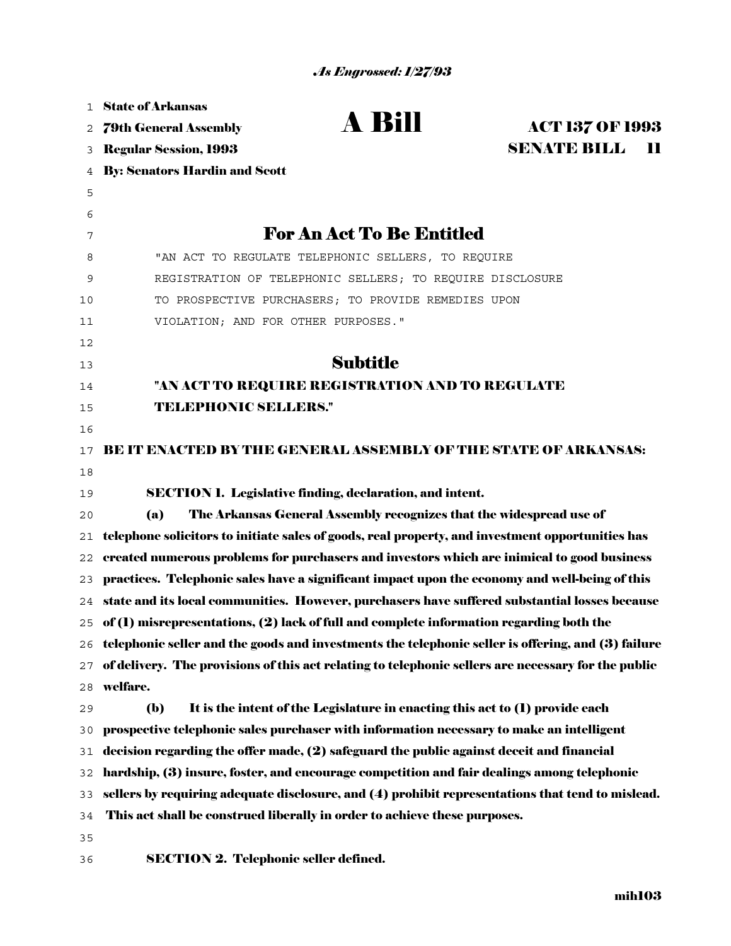| 1  | <b>State of Arkansas</b>                                                                              |
|----|-------------------------------------------------------------------------------------------------------|
| 2  | A Bill<br><b>ACT 137 OF 1993</b><br><b>79th General Assembly</b>                                      |
| 3  | <b>SENATE BILL</b><br>$\mathbf{H}$<br><b>Regular Session, 1993</b>                                    |
| 4  | <b>By: Senators Hardin and Scott</b>                                                                  |
| 5  |                                                                                                       |
| 6  |                                                                                                       |
| 7  | <b>For An Act To Be Entitled</b>                                                                      |
| 8  | "AN ACT TO REGULATE TELEPHONIC SELLERS, TO REQUIRE                                                    |
| 9  | REGISTRATION OF TELEPHONIC SELLERS; TO REQUIRE DISCLOSURE                                             |
| 10 | TO PROSPECTIVE PURCHASERS; TO PROVIDE REMEDIES UPON                                                   |
| 11 | VIOLATION; AND FOR OTHER PURPOSES."                                                                   |
| 12 |                                                                                                       |
| 13 | <b>Subtitle</b>                                                                                       |
| 14 | "AN ACT TO REQUIRE REGISTRATION AND TO REGULATE                                                       |
| 15 | <b>TELEPHONIC SELLERS."</b>                                                                           |
| 16 |                                                                                                       |
| 17 | <b>BE IT ENACTED BY THE GENERAL ASSEMBLY OF THE STATE OF ARKANSAS:</b>                                |
| 18 |                                                                                                       |
| 19 | <b>SECTION 1. Legislative finding, declaration, and intent.</b>                                       |
| 20 | The Arkansas General Assembly recognizes that the widespread use of<br>(a)                            |
| 21 | telephone solicitors to initiate sales of goods, real property, and investment opportunities has      |
| 22 | created numerous problems for purchasers and investors which are inimical to good business            |
| 23 | practices. Telephonic sales have a significant impact upon the economy and well-being of this         |
| 24 | state and its local communities. However, purchasers have suffered substantial losses because         |
|    | 25 of (1) misrepresentations, (2) lack of full and complete information regarding both the            |
|    | 26 telephonic seller and the goods and investments the telephonic seller is offering, and (3) failure |
| 27 | of delivery. The provisions of this act relating to telephonic sellers are necessary for the public   |
| 28 | welfare.                                                                                              |
| 29 | $\mathbf{b}$<br>It is the intent of the Legislature in enacting this act to (1) provide each          |
| 30 | prospective telephonic sales purchaser with information necessary to make an intelligent              |
| 31 | decision regarding the offer made, (2) safeguard the public against deceit and financial              |
| 32 | hardship, (3) insure, foster, and encourage competition and fair dealings among telephonic            |
| 33 | sellers by requiring adequate disclosure, and (4) prohibit representations that tend to mislead.      |
| 34 | This act shall be construed liberally in order to achieve these purposes.                             |
| 35 |                                                                                                       |
| 36 | <b>SECTION 2. Telephonic seller defined.</b>                                                          |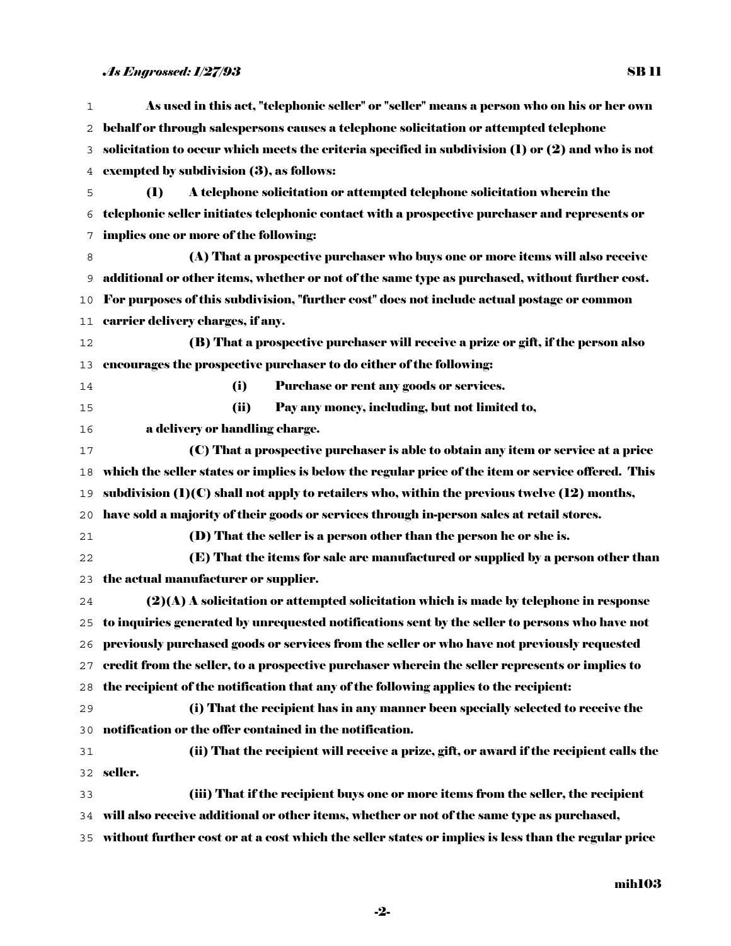As used in this act, "telephonic seller" or "seller" means a person who on his or her own behalf or through salespersons causes a telephone solicitation or attempted telephone solicitation to occur which meets the criteria specified in subdivision (1) or (2) and who is not exempted by subdivision (3), as follows: (1) A telephone solicitation or attempted telephone solicitation wherein the telephonic seller initiates telephonic contact with a prospective purchaser and represents or implies one or more of the following: (A) That a prospective purchaser who buys one or more items will also receive additional or other items, whether or not of the same type as purchased, without further cost. For purposes of this subdivision, "further cost" does not include actual postage or common carrier delivery charges, if any. (B) That a prospective purchaser will receive a prize or gift, if the person also encourages the prospective purchaser to do either of the following: (i) Purchase or rent any goods or services. (ii) Pay any money, including, but not limited to, a delivery or handling charge. (C) That a prospective purchaser is able to obtain any item or service at a price which the seller states or implies is below the regular price of the item or service offered. This 19 subdivision  $(1)(C)$  shall not apply to retailers who, within the previous twelve  $(12)$  months, have sold a majority of their goods or services through in-person sales at retail stores. (D) That the seller is a person other than the person he or she is. (E) That the items for sale are manufactured or supplied by a person other than the actual manufacturer or supplier. (2)(A) A solicitation or attempted solicitation which is made by telephone in response to inquiries generated by unrequested notifications sent by the seller to persons who have not previously purchased goods or services from the seller or who have not previously requested credit from the seller, to a prospective purchaser wherein the seller represents or implies to the recipient of the notification that any of the following applies to the recipient: (i) That the recipient has in any manner been specially selected to receive the notification or the offer contained in the notification. (ii) That the recipient will receive a prize, gift, or award if the recipient calls the seller. (iii) That if the recipient buys one or more items from the seller, the recipient will also receive additional or other items, whether or not of the same type as purchased, without further cost or at a cost which the seller states or implies is less than the regular price

-2-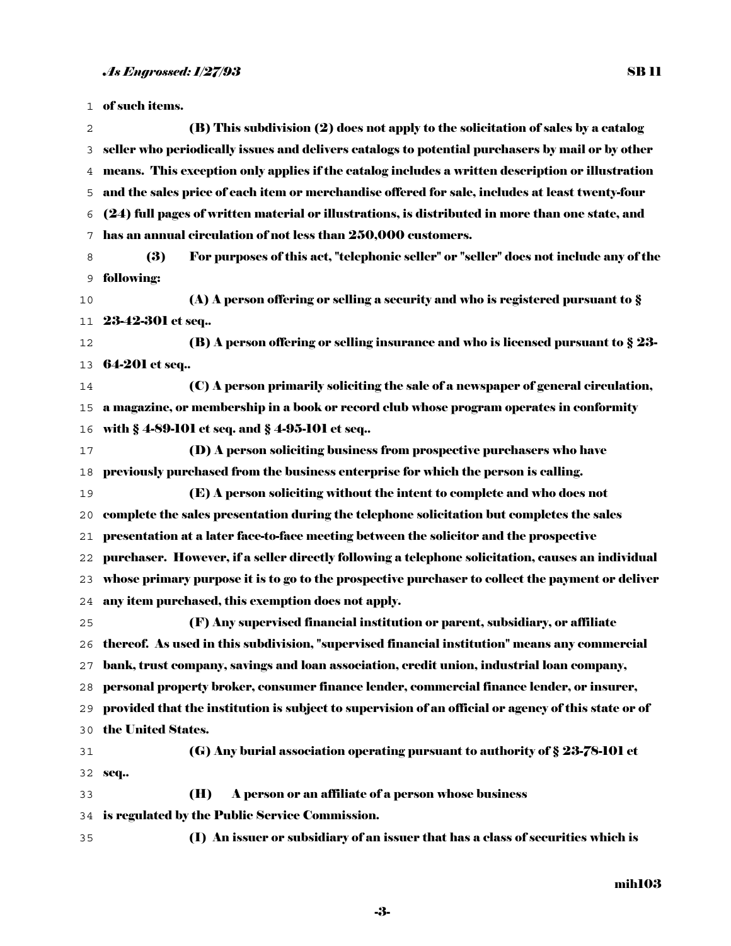| 1  | of such items.                                                                                       |
|----|------------------------------------------------------------------------------------------------------|
| 2  | (B) This subdivision (2) does not apply to the solicitation of sales by a catalog                    |
| 3  | seller who periodically issues and delivers catalogs to potential purchasers by mail or by other     |
| 4  | means. This exception only applies if the catalog includes a written description or illustration     |
| 5  | and the sales price of each item or merchandise offered for sale, includes at least twenty-four      |
| 6  | (24) full pages of written material or illustrations, is distributed in more than one state, and     |
| 7  | has an annual circulation of not less than 250,000 customers.                                        |
| 8  | For purposes of this act, "telephonic seller" or "seller" does not include any of the<br>(3)         |
| 9  | following:                                                                                           |
| 10 | (A) A person offering or selling a security and who is registered pursuant to $\S$                   |
| 11 | 23-42-301 et seq                                                                                     |
| 12 | (B) A person offering or selling insurance and who is licensed pursuant to $\S 23$ -                 |
| 13 | 64-201 et seq                                                                                        |
| 14 | (C) A person primarily soliciting the sale of a newspaper of general circulation,                    |
| 15 | a magazine, or membership in a book or record club whose program operates in conformity              |
| 16 | with § 4-89-101 et seq. and § 4-95-101 et seq                                                        |
| 17 | (D) A person soliciting business from prospective purchasers who have                                |
| 18 | previously purchased from the business enterprise for which the person is calling.                   |
| 19 | (E) A person soliciting without the intent to complete and who does not                              |
| 20 | complete the sales presentation during the telephone solicitation but completes the sales            |
| 21 | presentation at a later face-to-face meeting between the solicitor and the prospective               |
| 22 | purchaser. However, if a seller directly following a telephone solicitation, causes an individual    |
| 23 | whose primary purpose it is to go to the prospective purchaser to collect the payment or deliver     |
| 24 | any item purchased, this exemption does not apply.                                                   |
| 25 | (F) Any supervised financial institution or parent, subsidiary, or affiliate                         |
|    | 26 thereof. As used in this subdivision, "supervised financial institution" means any commercial     |
| 27 | bank, trust company, savings and loan association, credit union, industrial loan company,            |
| 28 | personal property broker, consumer finance lender, commercial finance lender, or insurer,            |
| 29 | provided that the institution is subject to supervision of an official or agency of this state or of |
| 30 | the United States.                                                                                   |
| 31 | (G) Any burial association operating pursuant to authority of § 23-78-101 et                         |
| 32 | seq                                                                                                  |
| 33 | (H)<br>A person or an affiliate of a person whose business                                           |
| 34 | is regulated by the Public Service Commission.                                                       |
| 35 | (I) An issuer or subsidiary of an issuer that has a class of securities which is                     |

-3-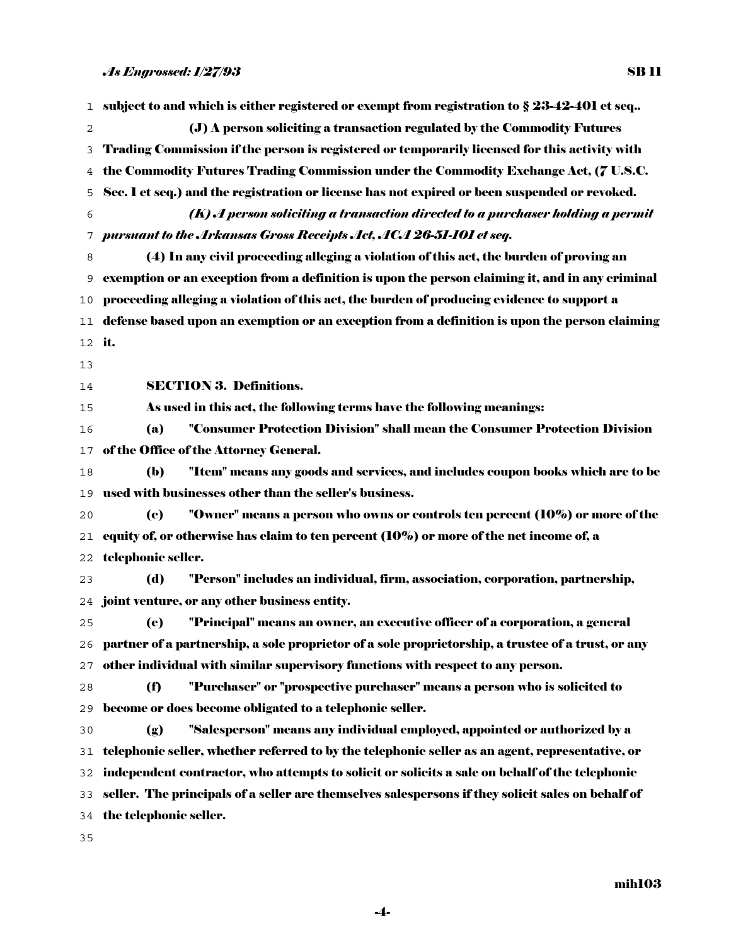| 1      | subject to and which is either registered or exempt from registration to $\S 23-42-401$ et seq     |
|--------|----------------------------------------------------------------------------------------------------|
| 2      | (J) A person soliciting a transaction regulated by the Commodity Futures                           |
| 3      | Trading Commission if the person is registered or temporarily licensed for this activity with      |
| 4      | the Commodity Futures Trading Commission under the Commodity Exchange Act, (7 U.S.C.               |
| 5      | Sec. 1 et seq.) and the registration or license has not expired or been suspended or revoked.      |
| 6      | (K) A person soliciting a transaction directed to a purchaser holding a permit                     |
| 7      | pursuant to the Arkansas Gross Receipts Act, ACA 26-51-101 et seq.                                 |
| 8      | (4) In any civil proceeding alleging a violation of this act, the burden of proving an             |
| 9      | exemption or an exception from a definition is upon the person claiming it, and in any criminal    |
| 10     | proceeding alleging a violation of this act, the burden of producing evidence to support a         |
| 11     | defense based upon an exemption or an exception from a definition is upon the person claiming      |
| 12 it. |                                                                                                    |
| 13     |                                                                                                    |
| 14     | <b>SECTION 3. Definitions.</b>                                                                     |
| 15     | As used in this act, the following terms have the following meanings:                              |
| 16     | "Consumer Protection Division" shall mean the Consumer Protection Division<br>(a)                  |
| 17     | of the Office of the Attorney General.                                                             |
| 18     | "Item" means any goods and services, and includes coupon books which are to be<br><b>(b)</b>       |
| 19     | used with businesses other than the seller's business.                                             |
| 20     | "Owner" means a person who owns or controls ten percent (10%) or more of the<br>(e)                |
| 21     | equity of, or otherwise has claim to ten percent $(10\%)$ or more of the net income of, a          |
| 22     | telephonic seller.                                                                                 |
| 23     | "Person" includes an individual, firm, association, corporation, partnership,<br>(d)               |
| 24     | joint venture, or any other business entity.                                                       |
| 25     | "Principal" means an owner, an executive officer of a corporation, a general<br>(e)                |
| 26     | partner of a partnership, a sole proprietor of a sole proprietorship, a trustee of a trust, or any |
| 27     | other individual with similar supervisory functions with respect to any person.                    |
| 28     | "Purchaser" or "prospective purchaser" means a person who is solicited to<br>(f)                   |
| 29     | become or does become obligated to a telephonic seller.                                            |
| 30     | "Salesperson" means any individual employed, appointed or authorized by a<br>(g)                   |
| 31     | telephonic seller, whether referred to by the telephonic seller as an agent, representative, or    |
| 32     | independent contractor, who attempts to solicit or solicits a sale on behalf of the telephonic     |
| 33     | seller. The principals of a seller are themselves salespersons if they solicit sales on behalf of  |
| 34     | the telephonic seller.                                                                             |
| 35     |                                                                                                    |

mih103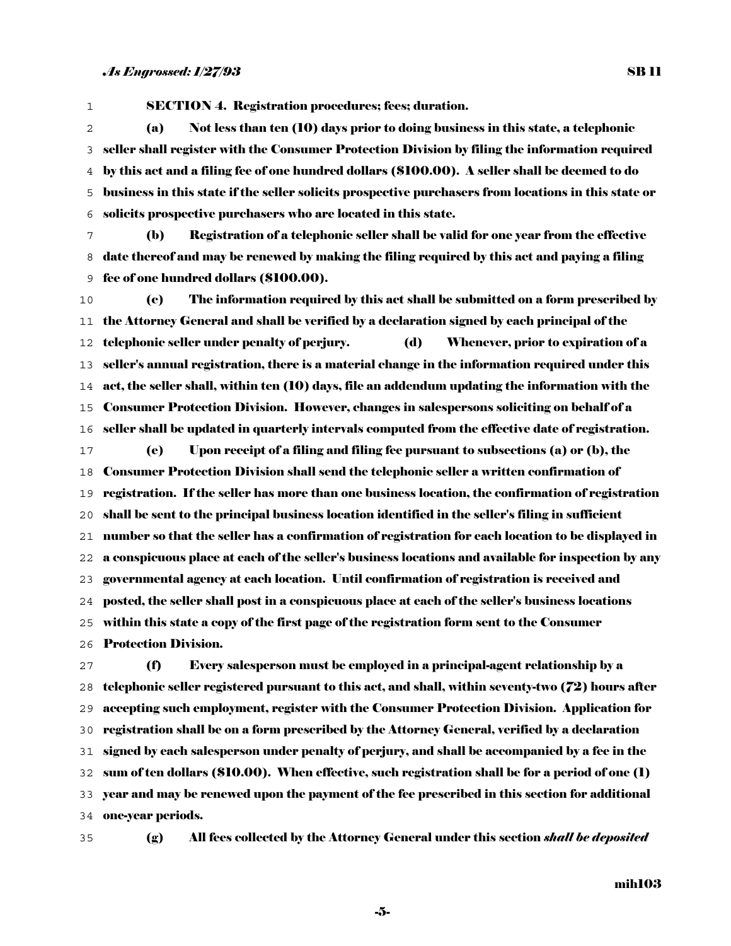SB 11

SECTION 4. Registration procedures; fees; duration. (a) Not less than ten (10) days prior to doing business in this state, a telephonic seller shall register with the Consumer Protection Division by filing the information required by this act and a filing fee of one hundred dollars (\$100.00). A seller shall be deemed to do business in this state if the seller solicits prospective purchasers from locations in this state or solicits prospective purchasers who are located in this state.

(b) Registration of a telephonic seller shall be valid for one year from the effective date thereof and may be renewed by making the filing required by this act and paying a filing fee of one hundred dollars (\$100.00).

(c) The information required by this act shall be submitted on a form prescribed by the Attorney General and shall be verified by a declaration signed by each principal of the telephonic seller under penalty of perjury. (d) Whenever, prior to expiration of a seller's annual registration, there is a material change in the information required under this act, the seller shall, within ten (10) days, file an addendum updating the information with the Consumer Protection Division. However, changes in salespersons soliciting on behalf of a seller shall be updated in quarterly intervals computed from the effective date of registration. (e) Upon receipt of a filing and filing fee pursuant to subsections (a) or (b), the Consumer Protection Division shall send the telephonic seller a written confirmation of registration. If the seller has more than one business location, the confirmation of registration shall be sent to the principal business location identified in the seller's filing in sufficient number so that the seller has a confirmation of registration for each location to be displayed in a conspicuous place at each of the seller's business locations and available for inspection by any governmental agency at each location. Until confirmation of registration is received and posted, the seller shall post in a conspicuous place at each of the seller's business locations within this state a copy of the first page of the registration form sent to the Consumer Protection Division.

(f) Every salesperson must be employed in a principal-agent relationship by a telephonic seller registered pursuant to this act, and shall, within seventy-two (72) hours after accepting such employment, register with the Consumer Protection Division. Application for registration shall be on a form prescribed by the Attorney General, verified by a declaration signed by each salesperson under penalty of perjury, and shall be accompanied by a fee in the sum of ten dollars (\$10.00). When effective, such registration shall be for a period of one (1) year and may be renewed upon the payment of the fee prescribed in this section for additional one-year periods.

(g) All fees collected by the Attorney General under this section *shall be deposited* 

-5-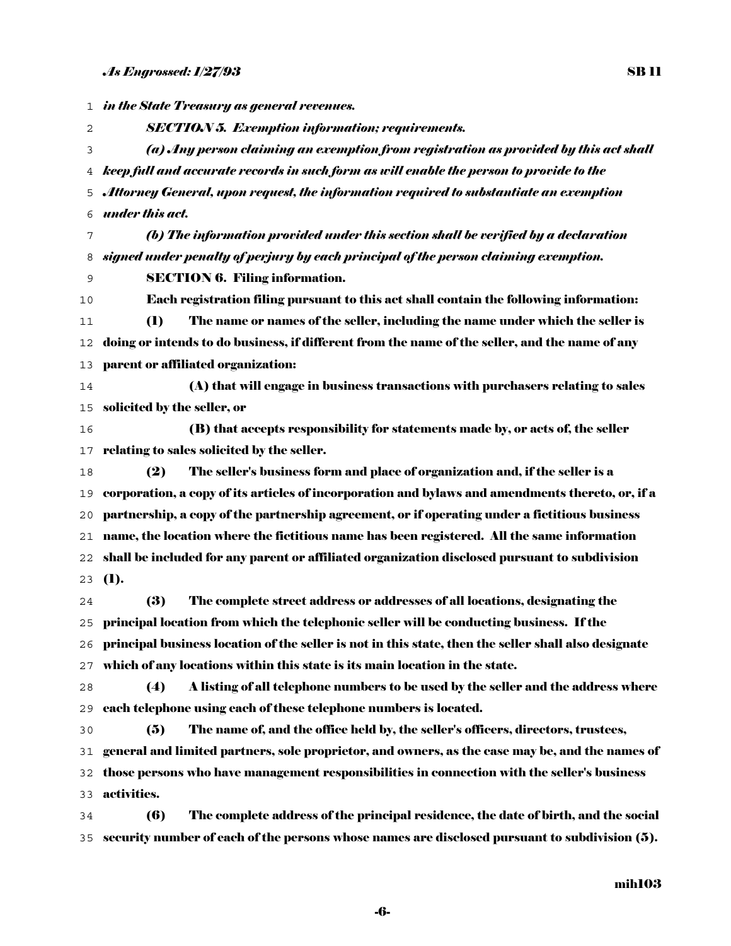*in the State Treasury as general revenues. SECTION 5. Exemption information; requirements. (a) Any person claiming an exemption from registration as provided by this act shall keep full and accurate records in such form as will enable the person to provide to the Attorney General, upon request, the information required to substantiate an exemption under this act. (b) The information provided under this section shall be verified by a declaration signed under penalty of perjury by each principal of the person claiming exemption.* SECTION 6. Filing information. Each registration filing pursuant to this act shall contain the following information: (1) The name or names of the seller, including the name under which the seller is doing or intends to do business, if different from the name of the seller, and the name of any parent or affiliated organization: (A) that will engage in business transactions with purchasers relating to sales solicited by the seller, or (B) that accepts responsibility for statements made by, or acts of, the seller relating to sales solicited by the seller. (2) The seller's business form and place of organization and, if the seller is a corporation, a copy of its articles of incorporation and bylaws and amendments thereto, or, if a partnership, a copy of the partnership agreement, or if operating under a fictitious business name, the location where the fictitious name has been registered. All the same information shall be included for any parent or affiliated organization disclosed pursuant to subdivision  $23 \quad (1).$ (3) The complete street address or addresses of all locations, designating the principal location from which the telephonic seller will be conducting business. If the principal business location of the seller is not in this state, then the seller shall also designate which of any locations within this state is its main location in the state. (4) A listing of all telephone numbers to be used by the seller and the address where each telephone using each of these telephone numbers is located. (5) The name of, and the office held by, the seller's officers, directors, trustees, general and limited partners, sole proprietor, and owners, as the case may be, and the names of those persons who have management responsibilities in connection with the seller's business activities. (6) The complete address of the principal residence, the date of birth, and the social security number of each of the persons whose names are disclosed pursuant to subdivision (5).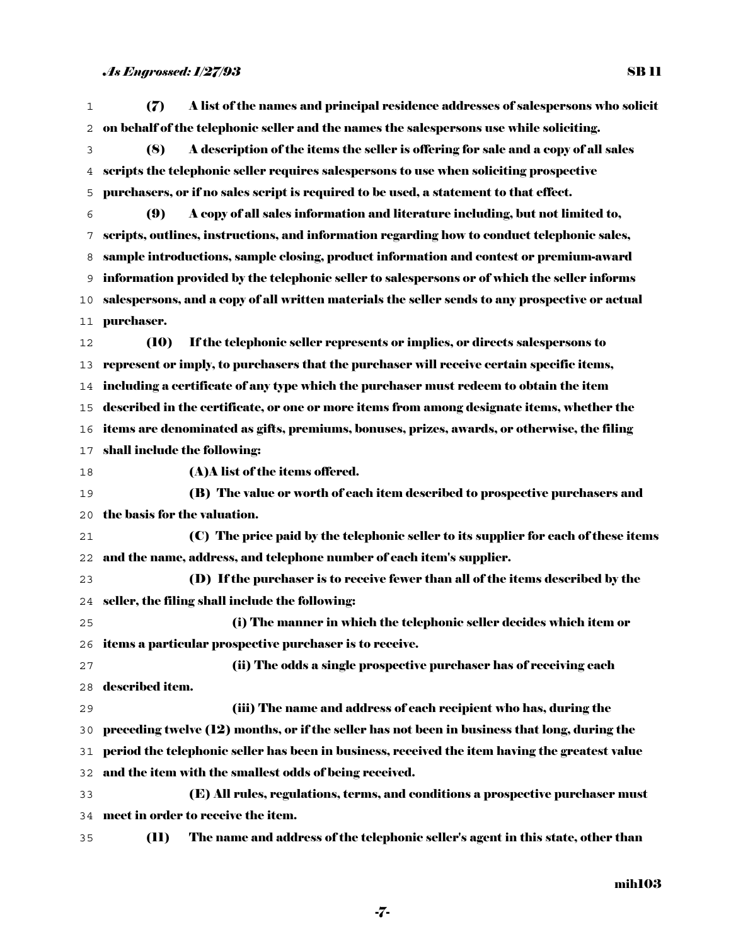| 1  | A list of the names and principal residence addresses of salespersons who solicit<br>(7)        |
|----|-------------------------------------------------------------------------------------------------|
| 2  | on behalf of the telephonic seller and the names the salespersons use while soliciting.         |
| 3  | A description of the items the seller is offering for sale and a copy of all sales<br>(8)       |
| 4  | scripts the telephonic seller requires salespersons to use when soliciting prospective          |
| 5  | purchasers, or if no sales seript is required to be used, a statement to that effect.           |
| 6  | A copy of all sales information and literature including, but not limited to,<br>(9)            |
| 7  | scripts, outlines, instructions, and information regarding how to conduct telephonic sales,     |
| 8  | sample introductions, sample closing, product information and contest or premium-award          |
| 9  | information provided by the telephonic seller to salespersons or of which the seller informs    |
| 10 | salespersons, and a copy of all written materials the seller sends to any prospective or actual |
| 11 | purchaser.                                                                                      |
| 12 | If the telephonic seller represents or implies, or directs salespersons to<br><b>(10)</b>       |
| 13 | represent or imply, to purchasers that the purchaser will receive certain specific items,       |
| 14 | including a certificate of any type which the purchaser must redeem to obtain the item          |
| 15 | described in the certificate, or one or more items from among designate items, whether the      |
| 16 | items are denominated as gifts, premiums, bonuses, prizes, awards, or otherwise, the filing     |
| 17 | shall include the following:                                                                    |
| 18 | (A) A list of the items offered.                                                                |
| 19 | (B) The value or worth of each item described to prospective purchasers and                     |
| 20 | the basis for the valuation.                                                                    |
| 21 | (C) The price paid by the telephonic seller to its supplier for each of these items             |
| 22 | and the name, address, and telephone number of each item's supplier.                            |
| 23 | (D) If the purchaser is to receive fewer than all of the items described by the                 |
| 24 | seller, the filing shall include the following:                                                 |
| 25 | (i) The manner in which the telephonic seller decides which item or                             |
|    | 26 items a particular prospective purchaser is to receive.                                      |
| 27 | (ii) The odds a single prospective purchaser has of receiving each                              |
| 28 | described item.                                                                                 |
| 29 | (iii) The name and address of each recipient who has, during the                                |
| 30 | preceding twelve $(12)$ months, or if the seller has not been in business that long, during the |
| 31 | period the telephonic seller has been in business, received the item having the greatest value  |
| 32 | and the item with the smallest odds of being received.                                          |
| 33 | (E) All rules, regulations, terms, and conditions a prospective purchaser must                  |
| 34 | meet in order to receive the item.                                                              |
| 35 | The name and address of the telephonic seller's agent in this state, other than<br>(11)         |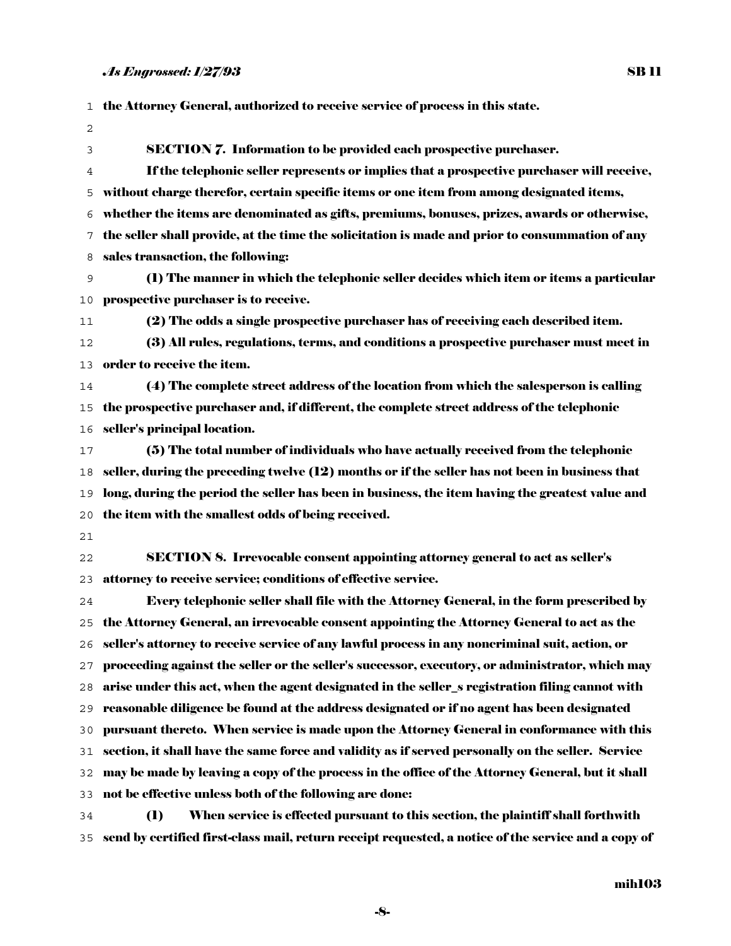|    | 1 the Attorney General, authorized to receive service of process in this state.                      |
|----|------------------------------------------------------------------------------------------------------|
| 2  |                                                                                                      |
| 3  | <b>SECTION 7.</b> Information to be provided each prospective purchaser.                             |
| 4  | If the telephonic seller represents or implies that a prospective purchaser will receive,            |
| 5  | without charge therefor, certain specific items or one item from among designated items,             |
| 6  | whether the items are denominated as gifts, premiums, bonuses, prizes, awards or otherwise,          |
| 7  | the seller shall provide, at the time the solicitation is made and prior to consummation of any      |
| 8  | sales transaction, the following:                                                                    |
| 9  | (1) The manner in which the telephonic seller decides which item or items a particular               |
| 10 | prospective purchaser is to receive.                                                                 |
| 11 | (2) The odds a single prospective purchaser has of receiving each described item.                    |
| 12 | (3) All rules, regulations, terms, and conditions a prospective purchaser must meet in               |
| 13 | order to receive the item.                                                                           |
| 14 | (4) The complete street address of the location from which the salesperson is calling                |
| 15 | the prospective purchaser and, if different, the complete street address of the telephonic           |
| 16 | seller's principal location.                                                                         |
| 17 | (5) The total number of individuals who have actually received from the telephonic                   |
| 18 | seller, during the preceding twelve (12) months or if the seller has not been in business that       |
| 19 | long, during the period the seller has been in business, the item having the greatest value and      |
| 20 | the item with the smallest odds of being received.                                                   |
| 21 |                                                                                                      |
| 22 | <b>SECTION 8. Irrevocable consent appointing attorney general to act as seller's</b>                 |
| 23 | attorney to receive service; conditions of effective service.                                        |
| 24 | Every telephonic seller shall file with the Attorney General, in the form prescribed by              |
|    | 25 the Attorney General, an irrevocable consent appointing the Attorney General to act as the        |
|    | 26    seller's attorney to receive service of any lawful process in any noncriminal suit, action, or |
| 27 | proceeding against the seller or the seller's successor, executory, or administrator, which may      |
| 28 | arise under this act, when the agent designated in the seller_s registration filing cannot with      |
|    | 29 reasonable diligence be found at the address designated or if no agent has been designated        |
| 30 | pursuant thereto. When service is made upon the Attorney General in conformance with this            |
| 31 | section, it shall have the same force and validity as if served personally on the seller. Service    |
| 32 | may be made by leaving a copy of the process in the office of the Attorney General, but it shall     |
| 33 | not be effective unless both of the following are done:                                              |
| 34 | When service is effected pursuant to this section, the plaintiff shall forthwith<br>$\mathbf{I}$     |
| 35 | send by certified first-class mail, return receipt requested, a notice of the service and a copy of  |

-8-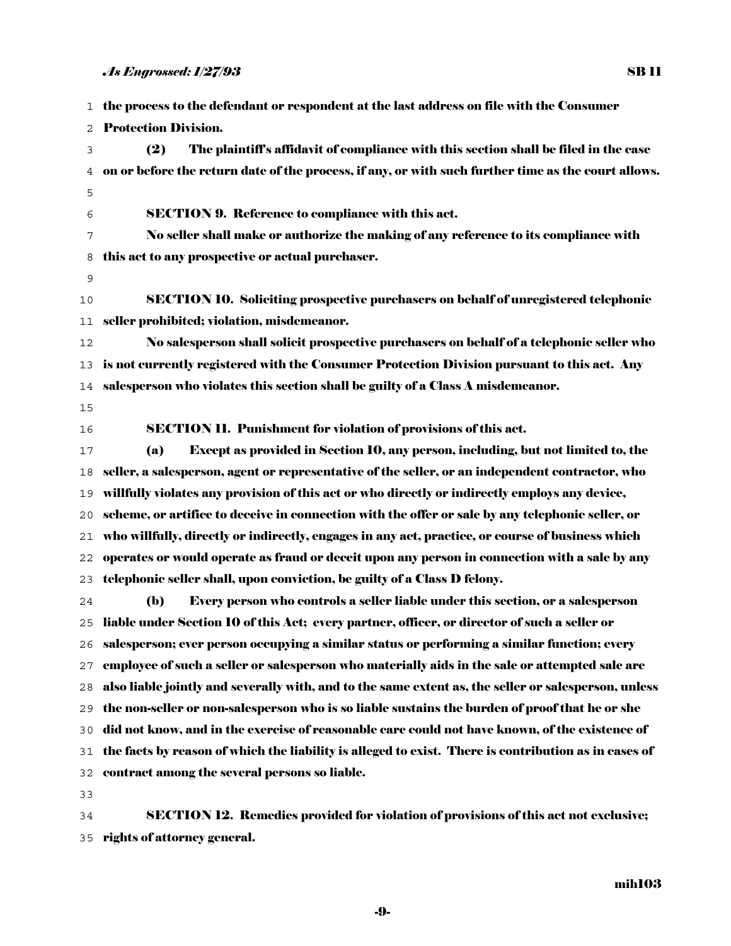the process to the defendant or respondent at the last address on file with the Consumer Protection Division.

- (2) The plaintiff's affidavit of compliance with this section shall be filed in the case on or before the return date of the process, if any, or with such further time as the court allows.
- SECTION 9. Reference to compliance with this act.
- No seller shall make or authorize the making of any reference to its compliance with this act to any prospective or actual purchaser.
- 

SECTION 10. Soliciting prospective purchasers on behalf of unregistered telephonic seller prohibited; violation, misdemeanor.

No salesperson shall solicit prospective purchasers on behalf of a telephonic seller who is not currently registered with the Consumer Protection Division pursuant to this act. Any salesperson who violates this section shall be guilty of a Class A misdemeanor.

- 
- 

SECTION 11. Punishment for violation of provisions of this act.

(a) Except as provided in Section 10, any person, including, but not limited to, the seller, a salesperson, agent or representative of the seller, or an independent contractor, who willfully violates any provision of this act or who directly or indirectly employs any device, scheme, or artifice to deceive in connection with the offer or sale by any telephonic seller, or who willfully, directly or indirectly, engages in any act, practice, or course of business which operates or would operate as fraud or deceit upon any person in connection with a sale by any telephonic seller shall, upon conviction, be guilty of a Class D felony.

(b) Every person who controls a seller liable under this section, or a salesperson liable under Section 10 of this Act; every partner, officer, or director of such a seller or salesperson; ever person occupying a similar status or performing a similar function; every employee of such a seller or salesperson who materially aids in the sale or attempted sale are also liable jointly and severally with, and to the same extent as, the seller or salesperson, unless the non-seller or non-salesperson who is so liable sustains the burden of proof that he or she did not know, and in the exercise of reasonable care could not have known, of the existence of the facts by reason of which the liability is alleged to exist. There is contribution as in cases of contract among the several persons so liable.

SECTION 12. Remedies provided for violation of provisions of this act not exclusive; rights of attorney general.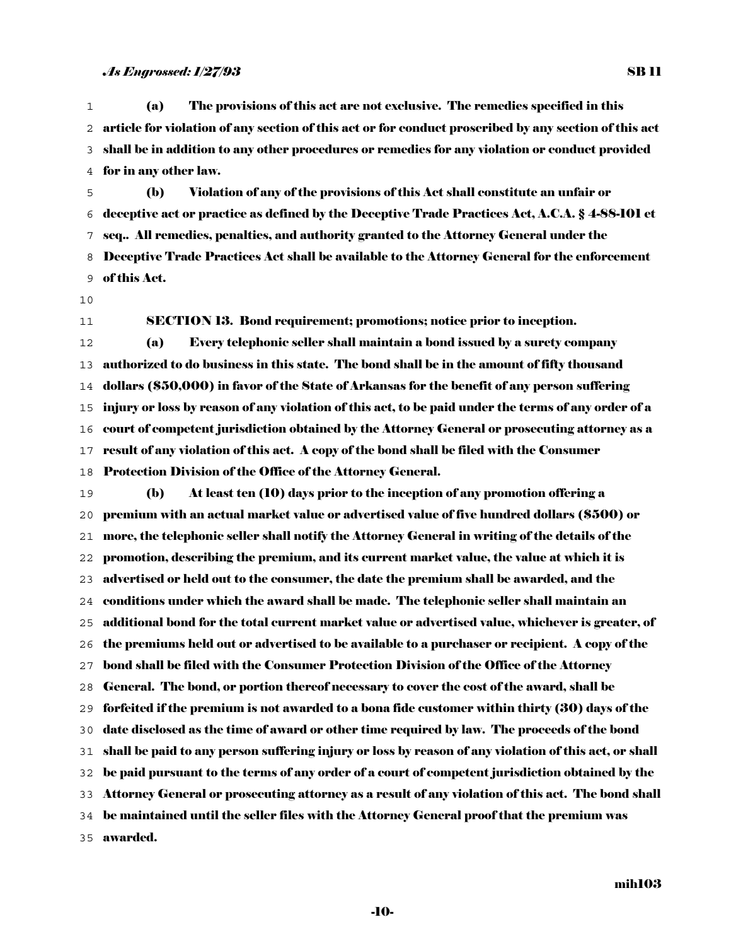(a) The provisions of this act are not exclusive. The remedies specified in this article for violation of any section of this act or for conduct proscribed by any section of this act shall be in addition to any other procedures or remedies for any violation or conduct provided for in any other law.

(b) Violation of any of the provisions of this Act shall constitute an unfair or deceptive act or practice as defined by the Deceptive Trade Practices Act, A.C.A. § 4-88-101 et seq.. All remedies, penalties, and authority granted to the Attorney General under the Deceptive Trade Practices Act shall be available to the Attorney General for the enforcement of this Act.

SECTION 13. Bond requirement; promotions; notice prior to inception.

(a) Every telephonic seller shall maintain a bond issued by a surety company authorized to do business in this state. The bond shall be in the amount of fifty thousand dollars (\$50,000) in favor of the State of Arkansas for the benefit of any person suffering injury or loss by reason of any violation of this act, to be paid under the terms of any order of a court of competent jurisdiction obtained by the Attorney General or prosecuting attorney as a result of any violation of this act. A copy of the bond shall be filed with the Consumer

Protection Division of the Office of the Attorney General.

(b) At least ten (10) days prior to the inception of any promotion offering a premium with an actual market value or advertised value of five hundred dollars (\$500) or more, the telephonic seller shall notify the Attorney General in writing of the details of the promotion, describing the premium, and its current market value, the value at which it is advertised or held out to the consumer, the date the premium shall be awarded, and the conditions under which the award shall be made. The telephonic seller shall maintain an additional bond for the total current market value or advertised value, whichever is greater, of the premiums held out or advertised to be available to a purchaser or recipient. A copy of the bond shall be filed with the Consumer Protection Division of the Office of the Attorney General. The bond, or portion thereof necessary to cover the cost of the award, shall be forfeited if the premium is not awarded to a bona fide customer within thirty (30) days of the date disclosed as the time of award or other time required by law. The proceeds of the bond shall be paid to any person suffering injury or loss by reason of any violation of this act, or shall be paid pursuant to the terms of any order of a court of competent jurisdiction obtained by the Attorney General or prosecuting attorney as a result of any violation of this act. The bond shall be maintained until the seller files with the Attorney General proof that the premium was awarded.

mih103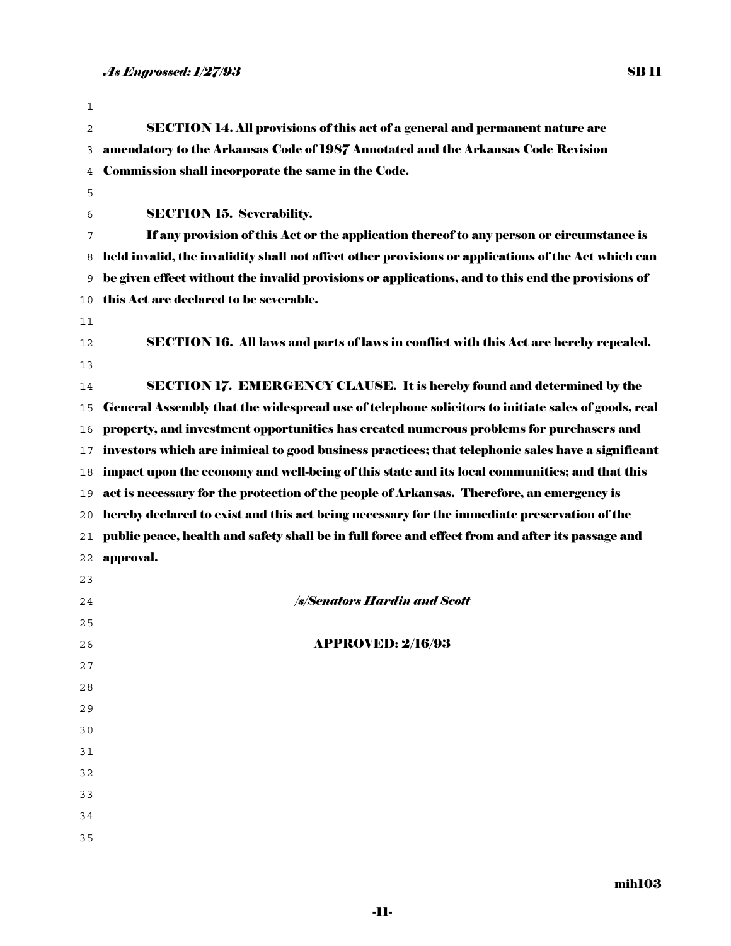| 1  |                                                                                                     |
|----|-----------------------------------------------------------------------------------------------------|
| 2  | <b>SECTION 14. All provisions of this act of a general and permanent nature are</b>                 |
| 3  | amendatory to the Arkansas Code of 1987 Annotated and the Arkansas Code Revision                    |
| 4  | Commission shall incorporate the same in the Code.                                                  |
| 5  |                                                                                                     |
| 6  | <b>SECTION 15. Severability.</b>                                                                    |
| 7  | If any provision of this Act or the application thereof to any person or circumstance is            |
| 8  | held invalid, the invalidity shall not affect other provisions or applications of the Act which can |
| 9  | be given effect without the invalid provisions or applications, and to this end the provisions of   |
| 10 | this Act are declared to be severable.                                                              |
| 11 |                                                                                                     |
| 12 | <b>SECTION 16. All laws and parts of laws in conflict with this Act are hereby repealed.</b>        |
| 13 |                                                                                                     |
| 14 | <b>SECTION 17. EMERGENCY CLAUSE. It is hereby found and determined by the</b>                       |
| 15 | General Assembly that the widespread use of telephone solicitors to initiate sales of goods, real   |
| 16 | property, and investment opportunities has created numerous problems for purchasers and             |
| 17 | investors which are inimical to good business practices; that telephonic sales have a significant   |
| 18 | impact upon the economy and well-being of this state and its local communities; and that this       |
| 19 | act is necessary for the protection of the people of Arkansas. Therefore, an emergency is           |
| 20 | hereby declared to exist and this act being necessary for the immediate preservation of the         |
| 21 | public peace, health and safety shall be in full force and effect from and after its passage and    |
| 22 | approval.                                                                                           |
| 23 |                                                                                                     |
| 24 | <b>/s/Senators Hardin and Scott</b>                                                                 |
| 25 |                                                                                                     |
| 26 | <b>APPROVED: 2/16/93</b>                                                                            |
| 27 |                                                                                                     |
| 28 |                                                                                                     |
| 29 |                                                                                                     |
| 30 |                                                                                                     |
| 31 |                                                                                                     |
| 32 |                                                                                                     |
| 33 |                                                                                                     |
| 34 |                                                                                                     |
| 35 |                                                                                                     |